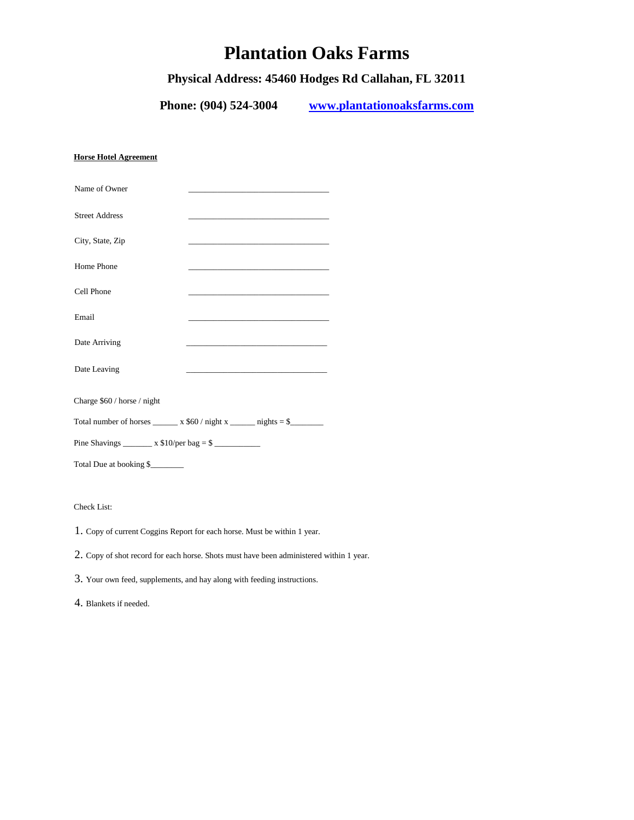# **Plantation Oaks Farms**

# **Physical Address: 45460 Hodges Rd Callahan, FL 32011**

**Phone: (904) 524-3004 [www.plantationoaksfarms.com](http://www.plantationoaksfarms.com/)**

### **Horse Hotel Agreement**

| Name of Owner               | <u> 1980 - Jan James James Jan James James Jan James James Jan James James Jan James James Jan James James Jan Ja</u>  |  |
|-----------------------------|------------------------------------------------------------------------------------------------------------------------|--|
| <b>Street Address</b>       |                                                                                                                        |  |
| City, State, Zip            | <u> 1989 - Johann John Harrison, mars and de fin de fin de fin de fin de fin de fin de fin de fin de fin de fin d</u>  |  |
| Home Phone                  | <u> 1980 - Jan Berlin, Amerikaansk politiker (* 1950)</u>                                                              |  |
| Cell Phone                  |                                                                                                                        |  |
| Email                       |                                                                                                                        |  |
| Date Arriving               | <u> 1980 - Johann John Harry Harry Harry Harry Harry Harry Harry Harry Harry Harry Harry Harry Harry Harry Harry H</u> |  |
| Date Leaving                | the control of the control of the control of the control of the control of                                             |  |
| Charge \$60 / horse / night |                                                                                                                        |  |
|                             | Total number of horses $\_\_\_\ x$ \$60 / night x $\_\_\_\_$ nights = \$                                               |  |
|                             |                                                                                                                        |  |
| Total Due at booking \$     |                                                                                                                        |  |

# Check List:

1. Copy of current Coggins Report for each horse. Must be within 1 year.

2. Copy of shot record for each horse. Shots must have been administered within 1 year.

3. Your own feed, supplements, and hay along with feeding instructions.

4. Blankets if needed.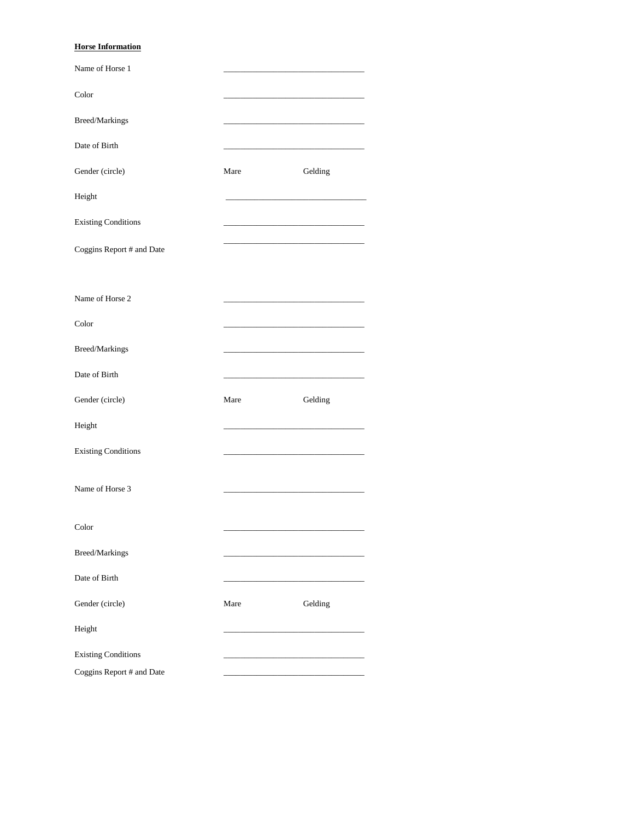## **Horse Information**

| Name of Horse 1            |      |         |
|----------------------------|------|---------|
| Color                      |      |         |
| Breed/Markings             |      |         |
| Date of Birth              |      |         |
| Gender (circle)            | Mare | Gelding |
| Height                     |      |         |
| <b>Existing Conditions</b> |      |         |
| Coggins Report # and Date  |      |         |
| Name of Horse 2            |      |         |
| Color                      |      |         |
| Breed/Markings             |      |         |
| Date of Birth              |      |         |
| Gender (circle)            | Mare | Gelding |
| Height                     |      |         |
| <b>Existing Conditions</b> |      |         |
| Name of Horse 3            |      |         |
| Color                      |      |         |
| Breed/Markings             |      |         |
|                            |      |         |
| Date of Birth              |      |         |
| Gender (circle)            | Mare | Gelding |
| Height                     |      |         |
| <b>Existing Conditions</b> |      |         |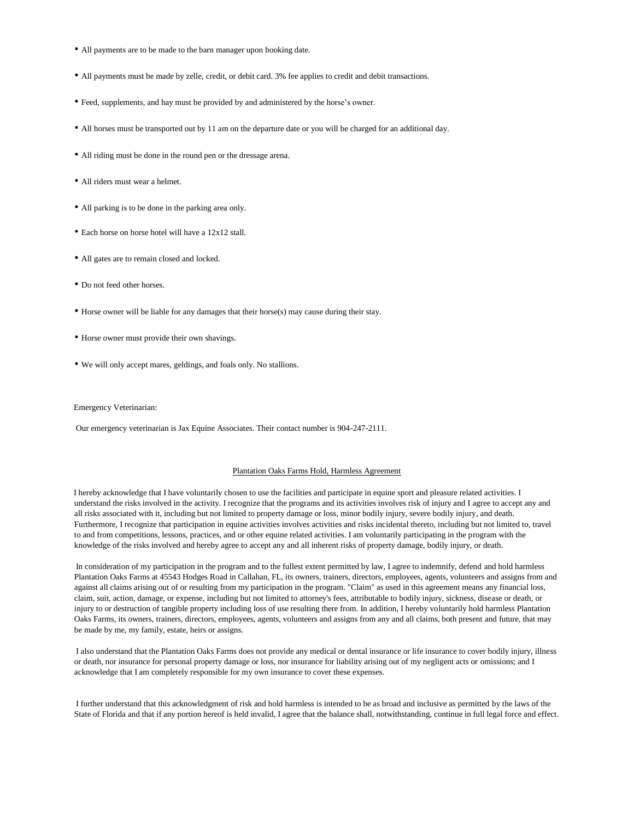- All payments are to be made to the barn manager upon booking date.
- All payments must be made by zelle, credit, or debit card. 3% fee applies to credit and debit transactions.
- Feed, supplements, and hay must be provided by and administered by the horse's owner.
- All horses must be transported out by 11 am on the departure date or you will be charged for an additional day.
- All riding must be done in the round pen or the dressage arena.
- All riders must wear a helmet.
- All parking is to be done in the parking area only.
- Each horse on horse hotel will have a 12x12 stall.
- All gates are to remain closed and locked.
- Do not feed other horses.
- Horse owner will be liable for any damages that their horse(s) may cause during their stay.
- Horse owner must provide their own shavings.
- We will only accept mares, geldings, and foals only. No stallions.

#### Emergency Veterinarian:

Our emergency veterinarian is Jax Equine Associates. Their contact number is 904-247-2111.

#### Plantation Oaks Farms Hold, Harmless Agreement

I hereby acknowledge that I have voluntarily chosen to use the facilities and participate in equine sport and pleasure related activities. I understand the risks involved in the activity. I recognize that the programs and its activities involves risk of injury and I agree to accept any and all risks associated with it, including but not limited to property damage or loss, minor bodily injury, severe bodily injury, and death. Furthermore, I recognize that participation in equine activities involves activities and risks incidental thereto, including but not limited to, travel to and from competitions, lessons, practices, and or other equine related activities. I am voluntarily participating in the program with the knowledge of the risks involved and hereby agree to accept any and all inherent risks of property damage, bodily injury, or death.

In consideration of my participation in the program and to the fullest extent permitted by law, I agree to indemnify, defend and hold harmless Plantation Oaks Farms at 45543 Hodges Road in Callahan, FL, its owners, trainers, directors, employees, agents, volunteers and assigns from and against all claims arising out of or resulting from my participation in the program. "Claim" as used in this agreement means any financial loss, claim, suit, action, damage, or expense, including but not limited to attorney's fees, attributable to bodily injury, sickness, disease or death, or injury to or destruction of tangible property including loss of use resulting there from. In addition, I hereby voluntarily hold harmless Plantation Oaks Farms, its owners, trainers, directors, employees, agents, volunteers and assigns from any and all claims, both present and future, that may be made by me, my family, estate, heirs or assigns.

I also understand that the Plantation Oaks Farms does not provide any medical or dental insurance or life insurance to cover bodily injury, illness or death, nor insurance for personal property damage or loss, nor insurance for liability arising out of my negligent acts or omissions; and I acknowledge that I am completely responsible for my own insurance to cover these expenses.

I further understand that this acknowledgment of risk and hold harmless is intended to be as broad and inclusive as permitted by the laws of the State of Florida and that if any portion hereof is held invalid, I agree that the balance shall, notwithstanding, continue in full legal force and effect.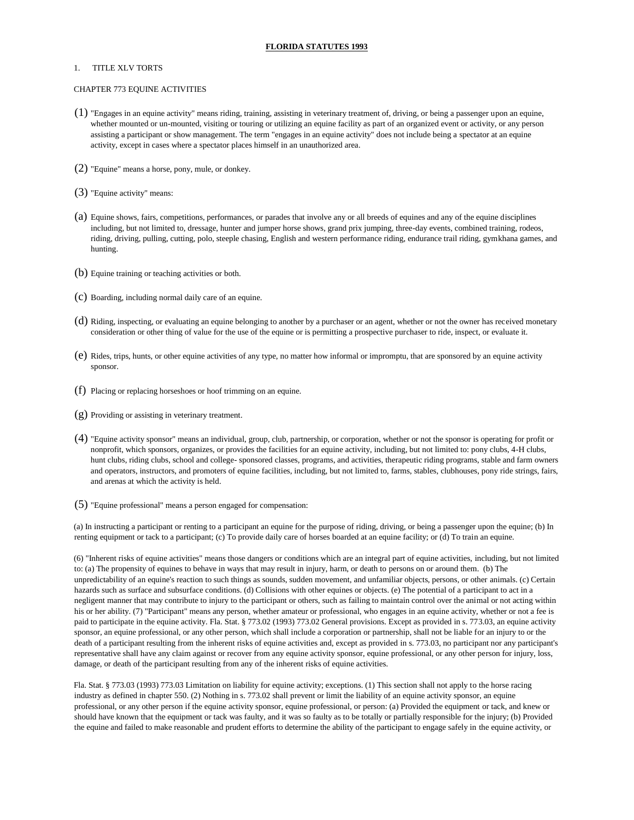#### **FLORIDA STATUTES 1993**

#### 1. TITLE XLV TORTS

#### CHAPTER 773 EQUINE ACTIVITIES

- (1) "Engages in an equine activity" means riding, training, assisting in veterinary treatment of, driving, or being a passenger upon an equine, whether mounted or un-mounted, visiting or touring or utilizing an equine facility as part of an organized event or activity, or any person assisting a participant or show management. The term "engages in an equine activity" does not include being a spectator at an equine activity, except in cases where a spectator places himself in an unauthorized area.
- (2) "Equine" means a horse, pony, mule, or donkey.
- (3) "Equine activity" means:
- (a) Equine shows, fairs, competitions, performances, or parades that involve any or all breeds of equines and any of the equine disciplines including, but not limited to, dressage, hunter and jumper horse shows, grand prix jumping, three-day events, combined training, rodeos, riding, driving, pulling, cutting, polo, steeple chasing, English and western performance riding, endurance trail riding, gymkhana games, and hunting.
- (b) Equine training or teaching activities or both.
- (c) Boarding, including normal daily care of an equine.
- (d) Riding, inspecting, or evaluating an equine belonging to another by a purchaser or an agent, whether or not the owner has received monetary consideration or other thing of value for the use of the equine or is permitting a prospective purchaser to ride, inspect, or evaluate it.
- (e) Rides, trips, hunts, or other equine activities of any type, no matter how informal or impromptu, that are sponsored by an equine activity sponsor.
- (f) Placing or replacing horseshoes or hoof trimming on an equine.
- (g) Providing or assisting in veterinary treatment.
- (4) "Equine activity sponsor" means an individual, group, club, partnership, or corporation, whether or not the sponsor is operating for profit or nonprofit, which sponsors, organizes, or provides the facilities for an equine activity, including, but not limited to: pony clubs, 4-H clubs, hunt clubs, riding clubs, school and college- sponsored classes, programs, and activities, therapeutic riding programs, stable and farm owners and operators, instructors, and promoters of equine facilities, including, but not limited to, farms, stables, clubhouses, pony ride strings, fairs, and arenas at which the activity is held.
- (5) "Equine professional" means a person engaged for compensation:

(a) In instructing a participant or renting to a participant an equine for the purpose of riding, driving, or being a passenger upon the equine; (b) In renting equipment or tack to a participant; (c) To provide daily care of horses boarded at an equine facility; or (d) To train an equine.

(6) "Inherent risks of equine activities" means those dangers or conditions which are an integral part of equine activities, including, but not limited to: (a) The propensity of equines to behave in ways that may result in injury, harm, or death to persons on or around them. (b) The unpredictability of an equine's reaction to such things as sounds, sudden movement, and unfamiliar objects, persons, or other animals. (c) Certain hazards such as surface and subsurface conditions. (d) Collisions with other equines or objects. (e) The potential of a participant to act in a negligent manner that may contribute to injury to the participant or others, such as failing to maintain control over the animal or not acting within his or her ability. (7) "Participant" means any person, whether amateur or professional, who engages in an equine activity, whether or not a fee is paid to participate in the equine activity. Fla. Stat. § 773.02 (1993) 773.02 General provisions. Except as provided in s. 773.03, an equine activity sponsor, an equine professional, or any other person, which shall include a corporation or partnership, shall not be liable for an injury to or the death of a participant resulting from the inherent risks of equine activities and, except as provided in s. 773.03, no participant nor any participant's representative shall have any claim against or recover from any equine activity sponsor, equine professional, or any other person for injury, loss, damage, or death of the participant resulting from any of the inherent risks of equine activities.

Fla. Stat. § 773.03 (1993) 773.03 Limitation on liability for equine activity; exceptions. (1) This section shall not apply to the horse racing industry as defined in chapter 550. (2) Nothing in s. 773.02 shall prevent or limit the liability of an equine activity sponsor, an equine professional, or any other person if the equine activity sponsor, equine professional, or person: (a) Provided the equipment or tack, and knew or should have known that the equipment or tack was faulty, and it was so faulty as to be totally or partially responsible for the injury; (b) Provided the equine and failed to make reasonable and prudent efforts to determine the ability of the participant to engage safely in the equine activity, or